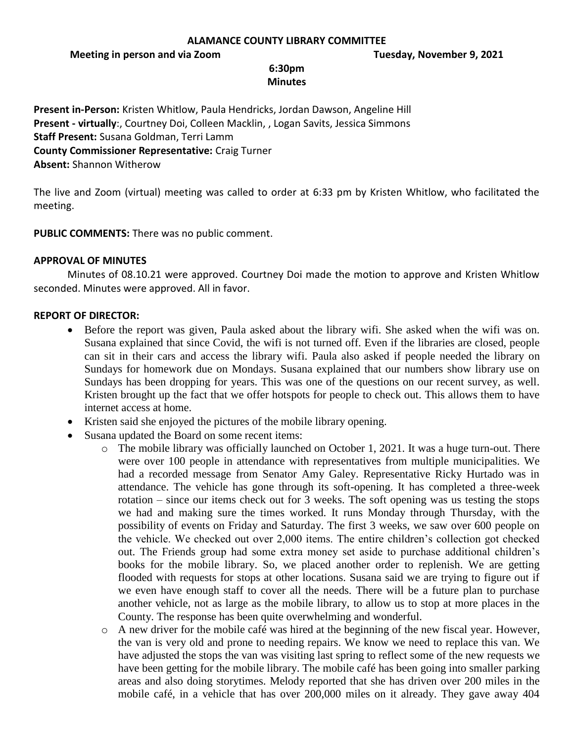## **ALAMANCE COUNTY LIBRARY COMMITTEE**

**Meeting in person and via Zoom Tuesday, November 9, 2021**

## **6:30pm Minutes**

**Present in-Person:** Kristen Whitlow, Paula Hendricks, Jordan Dawson, Angeline Hill **Present - virtually**:, Courtney Doi, Colleen Macklin, , Logan Savits, Jessica Simmons **Staff Present:** Susana Goldman, Terri Lamm **County Commissioner Representative:** Craig Turner **Absent:** Shannon Witherow

The live and Zoom (virtual) meeting was called to order at 6:33 pm by Kristen Whitlow, who facilitated the meeting.

**PUBLIC COMMENTS:** There was no public comment.

# **APPROVAL OF MINUTES**

Minutes of 08.10.21 were approved. Courtney Doi made the motion to approve and Kristen Whitlow seconded. Minutes were approved. All in favor.

#### **REPORT OF DIRECTOR:**

- Before the report was given, Paula asked about the library wifi. She asked when the wifi was on. Susana explained that since Covid, the wifi is not turned off. Even if the libraries are closed, people can sit in their cars and access the library wifi. Paula also asked if people needed the library on Sundays for homework due on Mondays. Susana explained that our numbers show library use on Sundays has been dropping for years. This was one of the questions on our recent survey, as well. Kristen brought up the fact that we offer hotspots for people to check out. This allows them to have internet access at home.
- Kristen said she enjoyed the pictures of the mobile library opening.
- Susana updated the Board on some recent items:
	- o The mobile library was officially launched on October 1, 2021. It was a huge turn-out. There were over 100 people in attendance with representatives from multiple municipalities. We had a recorded message from Senator Amy Galey. Representative Ricky Hurtado was in attendance. The vehicle has gone through its soft-opening. It has completed a three-week rotation – since our items check out for 3 weeks. The soft opening was us testing the stops we had and making sure the times worked. It runs Monday through Thursday, with the possibility of events on Friday and Saturday. The first 3 weeks, we saw over 600 people on the vehicle. We checked out over 2,000 items. The entire children's collection got checked out. The Friends group had some extra money set aside to purchase additional children's books for the mobile library. So, we placed another order to replenish. We are getting flooded with requests for stops at other locations. Susana said we are trying to figure out if we even have enough staff to cover all the needs. There will be a future plan to purchase another vehicle, not as large as the mobile library, to allow us to stop at more places in the County. The response has been quite overwhelming and wonderful.
	- o A new driver for the mobile café was hired at the beginning of the new fiscal year. However, the van is very old and prone to needing repairs. We know we need to replace this van. We have adjusted the stops the van was visiting last spring to reflect some of the new requests we have been getting for the mobile library. The mobile café has been going into smaller parking areas and also doing storytimes. Melody reported that she has driven over 200 miles in the mobile café, in a vehicle that has over 200,000 miles on it already. They gave away 404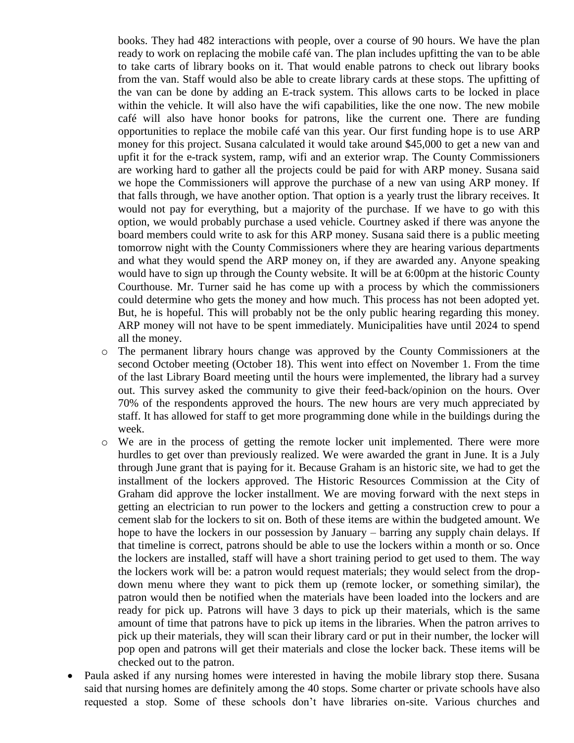books. They had 482 interactions with people, over a course of 90 hours. We have the plan ready to work on replacing the mobile café van. The plan includes upfitting the van to be able to take carts of library books on it. That would enable patrons to check out library books from the van. Staff would also be able to create library cards at these stops. The upfitting of the van can be done by adding an E-track system. This allows carts to be locked in place within the vehicle. It will also have the wifi capabilities, like the one now. The new mobile café will also have honor books for patrons, like the current one. There are funding opportunities to replace the mobile café van this year. Our first funding hope is to use ARP money for this project. Susana calculated it would take around \$45,000 to get a new van and upfit it for the e-track system, ramp, wifi and an exterior wrap. The County Commissioners are working hard to gather all the projects could be paid for with ARP money. Susana said we hope the Commissioners will approve the purchase of a new van using ARP money. If that falls through, we have another option. That option is a yearly trust the library receives. It would not pay for everything, but a majority of the purchase. If we have to go with this option, we would probably purchase a used vehicle. Courtney asked if there was anyone the board members could write to ask for this ARP money. Susana said there is a public meeting tomorrow night with the County Commissioners where they are hearing various departments and what they would spend the ARP money on, if they are awarded any. Anyone speaking would have to sign up through the County website. It will be at 6:00pm at the historic County Courthouse. Mr. Turner said he has come up with a process by which the commissioners could determine who gets the money and how much. This process has not been adopted yet. But, he is hopeful. This will probably not be the only public hearing regarding this money. ARP money will not have to be spent immediately. Municipalities have until 2024 to spend all the money.

- o The permanent library hours change was approved by the County Commissioners at the second October meeting (October 18). This went into effect on November 1. From the time of the last Library Board meeting until the hours were implemented, the library had a survey out. This survey asked the community to give their feed-back/opinion on the hours. Over 70% of the respondents approved the hours. The new hours are very much appreciated by staff. It has allowed for staff to get more programming done while in the buildings during the week.
- o We are in the process of getting the remote locker unit implemented. There were more hurdles to get over than previously realized. We were awarded the grant in June. It is a July through June grant that is paying for it. Because Graham is an historic site, we had to get the installment of the lockers approved. The Historic Resources Commission at the City of Graham did approve the locker installment. We are moving forward with the next steps in getting an electrician to run power to the lockers and getting a construction crew to pour a cement slab for the lockers to sit on. Both of these items are within the budgeted amount. We hope to have the lockers in our possession by January – barring any supply chain delays. If that timeline is correct, patrons should be able to use the lockers within a month or so. Once the lockers are installed, staff will have a short training period to get used to them. The way the lockers work will be: a patron would request materials; they would select from the dropdown menu where they want to pick them up (remote locker, or something similar), the patron would then be notified when the materials have been loaded into the lockers and are ready for pick up. Patrons will have 3 days to pick up their materials, which is the same amount of time that patrons have to pick up items in the libraries. When the patron arrives to pick up their materials, they will scan their library card or put in their number, the locker will pop open and patrons will get their materials and close the locker back. These items will be checked out to the patron.
- Paula asked if any nursing homes were interested in having the mobile library stop there. Susana said that nursing homes are definitely among the 40 stops. Some charter or private schools have also requested a stop. Some of these schools don't have libraries on-site. Various churches and